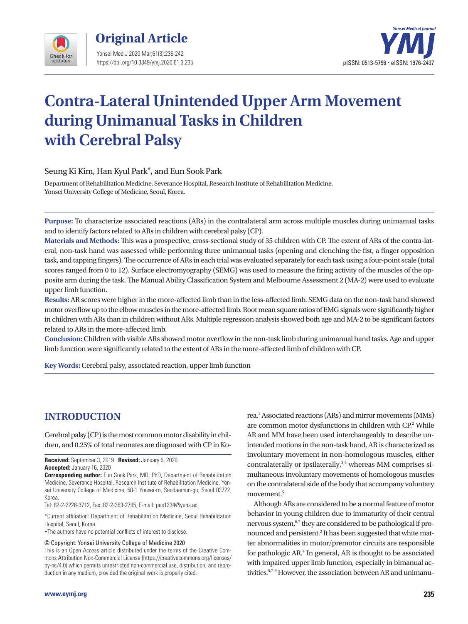



# **Contra-Lateral Unintended Upper Arm Movement during Unimanual Tasks in Children with Cerebral Palsy**

Seung Ki Kim, Han Kyul Park\*, and Eun Sook Park

Department of Rehabilitation Medicine, Severance Hospital, Research Institute of Rehabilitation Medicine, Yonsei University College of Medicine, Seoul, Korea.

**Purpose:** To characterize associated reactions (ARs) in the contralateral arm across multiple muscles during unimanual tasks and to identify factors related to ARs in children with cerebral palsy (CP).

**Materials and Methods:** This was a prospective, cross-sectional study of 35 children with CP. The extent of ARs of the contra-lateral, non-task hand was assessed while performing three unimanual tasks (opening and clenching the fist, a finger opposition task, and tapping fingers). The occurrence of ARs in each trial was evaluated separately for each task using a four-point scale (total scores ranged from 0 to 12). Surface electromyography (SEMG) was used to measure the firing activity of the muscles of the opposite arm during the task. The Manual Ability Classification System and Melbourne Assessment 2 (MA-2) were used to evaluate upper limb function.

**Results:** AR scores were higher in the more-affected limb than in the less-affected limb. SEMG data on the non-task hand showed motor overflow up to the elbow muscles in the more-affected limb. Root mean square ratios of EMG signals were significantly higher in children with ARs than in children without ARs. Multiple regression analysis showed both age and MA-2 to be significant factors related to ARs in the more-affected limb.

**Conclusion:** Children with visible ARs showed motor overflow in the non-task limb during unimanual hand tasks. Age and upper limb function were significantly related to the extent of ARs in the more-affected limb of children with CP.

**Key Words:** Cerebral palsy, associated reaction, upper limb function

## **INTRODUCTION**

Cerebral palsy (CP) is the most common motor disability in children, and 0.25% of total neonates are diagnosed with CP in Ko-

**Received:** September 3, 2019 **Revised:** January 5, 2020

**Accepted:** January 16, 2020

**Corresponding author:** Eun Sook Park, MD, PhD, Department of Rehabilitation Medicine, Severance Hospital, Research Institute of Rehabilitation Medicine, Yonsei University College of Medicine, 50-1 Yonsei-ro, Seodaemun-gu, Seoul 03722, Korea.

Tel: 82-2-2228-3712, Fax: 82-2-363-2795, E-mail: pes1234@yuhs.ac

\*Current affiliation: Department of Rehabilitation Medicine, Seoul Rehabilitation Hospital, Seoul, Korea.

•The authors have no potential conflicts of interest to disclose.

© Copyright: Yonsei University College of Medicine 2020

This is an Open Access article distributed under the terms of the Creative Commons Attribution Non-Commercial License (https://creativecommons.org/licenses/ by-nc/4.0) which permits unrestricted non-commercial use, distribution, and reproduction in any medium, provided the original work is properly cited.

rea.<sup>1</sup> Associated reactions (ARs) and mirror movements (MMs) are common motor dysfunctions in children with CP.<sup>2</sup> While AR and MM have been used interchangeably to describe unintended motions in the non-task hand, AR is characterized as involuntary movement in non-homologous muscles, either contralaterally or ipsilaterally,<sup>3,4</sup> whereas MM comprises simultaneous involuntary movements of homologous muscles on the contralateral side of the body that accompany voluntary movement.<sup>5</sup>

Although ARs are considered to be a normal feature of motor behavior in young children due to immaturity of their central nervous system,<sup>6,7</sup> they are considered to be pathological if pronounced and persistent.<sup>2</sup> It has been suggested that white matter abnormalities in motor/premotor circuits are responsible for pathologic AR.4 In general, AR is thought to be associated with impaired upper limb function, especially in bimanual activities.5,7-9 However, the association between AR and unimanu-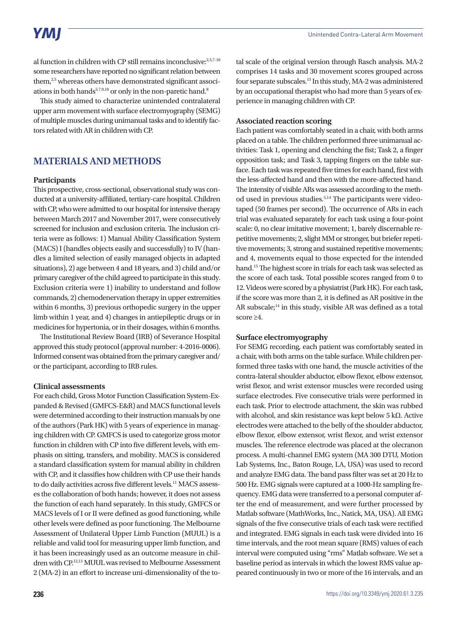# YMI

al function in children with CP still remains inconclusive:<sup>2,5,7-10</sup> some researchers have reported no significant relation between them,<sup>2,5</sup> whereas others have demonstrated significant associations in both hands<sup>5,7,9,10</sup> or only in the non-paretic hand.<sup>8</sup>

This study aimed to characterize unintended contralateral upper arm movement with surface electromyography (SEMG) of multiple muscles during unimanual tasks and to identify factors related with AR in children with CP.

## **MATERIALS AND METHODS**

#### **Participants**

This prospective, cross-sectional, observational study was conducted at a university-affiliated, tertiary-care hospital. Children with CP, who were admitted to our hospital for intensive therapy between March 2017 and November 2017, were consecutively screened for inclusion and exclusion criteria. The inclusion criteria were as follows: 1) Manual Ability Classification System (MACS) I (handles objects easily and successfully) to IV (handles a limited selection of easily managed objects in adapted situations), 2) age between 4 and 18 years, and 3) child and/or primary caregiver of the child agreed to participate in this study. Exclusion criteria were 1) inability to understand and follow commands, 2) chemodenervation therapy in upper extremities within 6 months, 3) previous orthopedic surgery in the upper limb within 1 year, and 4) changes in antiepileptic drugs or in medicines for hypertonia, or in their dosages, within 6 months.

The Institutional Review Board (IRB) of Severance Hospital approved this study protocol (approval number: 4-2016-0006). Informed consent was obtained from the primary caregiver and/ or the participant, according to IRB rules.

#### **Clinical assessments**

For each child, Gross Motor Function Classification System-Expanded & Revised (GMFCS-E&R) and MACS functional levels were determined according to their instruction manuals by one of the authors (Park HK) with 5 years of experience in managing children with CP. GMFCS is used to categorize gross motor function in children with CP into five different levels, with emphasis on sitting, transfers, and mobility. MACS is considered a standard classification system for manual ability in children with CP, and it classifies how children with CP use their hands to do daily activities across five different levels.<sup>11</sup> MACS assesses the collaboration of both hands; however, it does not assess the function of each hand separately. In this study, GMFCS or MACS levels of I or II were defined as good functioning, while other levels were defined as poor functioning. The Melbourne Assessment of Unilateral Upper Limb Function (MUUL) is a reliable and valid tool for measuring upper limb function, and it has been increasingly used as an outcome measure in children with CP.12,13 MUUL was revised to Melbourne Assessment 2 (MA-2) in an effort to increase uni-dimensionality of the total scale of the original version through Rasch analysis. MA-2 comprises 14 tasks and 30 movement scores grouped across four separate subscales.13 In this study, MA-2 was administered by an occupational therapist who had more than 5 years of experience in managing children with CP.

#### **Associated reaction scoring**

Each patient was comfortably seated in a chair, with both arms placed on a table. The children performed three unimanual activities: Task 1, opening and clenching the fist; Task 2, a finger opposition task; and Task 3, tapping fingers on the table surface. Each task was repeated five times for each hand, first with the less-affected hand and then with the more-affected hand. The intensity of visible ARs was assessed according to the method used in previous studies.<sup>5,14</sup> The participants were videotaped (50 frames per second). The occurrence of ARs in each trial was evaluated separately for each task using a four-point scale: 0, no clear imitative movement; 1, barely discernable repetitive movements; 2, slight MM or stronger, but briefer repetitive movements; 3, strong and sustained repetitive movements; and 4, movements equal to those expected for the intended hand.15 The highest score in trials for each task was selected as the score of each task. Total possible scores ranged from 0 to 12. Videos were scored by a physiatrist (Park HK). For each task, if the score was more than 2, it is defined as AR positive in the AR subscale;<sup>14</sup> in this study, visible AR was defined as a total score ≥4.

#### **Surface electromyography**

For SEMG recording, each patient was comfortably seated in a chair, with both arms on the table surface. While children performed three tasks with one hand, the muscle activities of the contra-lateral shoulder abductor, elbow flexor, elbow extensor, wrist flexor, and wrist extensor muscles were recorded using surface electrodes. Five consecutive trials were performed in each task. Prior to electrode attachment, the skin was rubbed with alcohol, and skin resistance was kept below 5 kΩ. Active electrodes were attached to the belly of the shoulder abductor, elbow flexor, elbow extensor, wrist flexor, and wrist extensor muscles. The reference electrode was placed at the olecranon process. A multi-channel EMG system (MA 300 DTU, Motion Lab Systems, Inc., Baton Rouge, LA, USA) was used to record and analyze EMG data. The band pass filter was set at 20 Hz to 500 Hz. EMG signals were captured at a 1000-Hz sampling frequency. EMG data were transferred to a personal computer after the end of measurement, and were further processed by Matlab software (MathWorks, Inc., Natick, MA, USA). All EMG signals of the five consecutive trials of each task were rectified and integrated. EMG signals in each task were divided into 16 time intervals, and the root mean square (RMS) values of each interval were computed using "rms" Matlab software. We set a baseline period as intervals in which the lowest RMS value appeared continuously in two or more of the 16 intervals, and an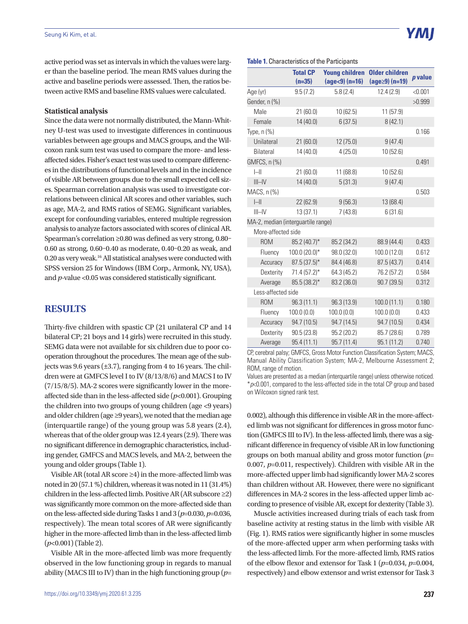active period was set as intervals in which the values were larger than the baseline period. The mean RMS values during the active and baseline periods were assessed. Then, the ratios between active RMS and baseline RMS values were calculated.

#### **Statistical analysis**

Since the data were not normally distributed, the Mann-Whitney U-test was used to investigate differences in continuous variables between age groups and MACS groups, and the Wilcoxon rank sum test was used to compare the more- and lessaffected sides. Fisher's exact test was used to compare differences in the distributions of functional levels and in the incidence of visible AR between groups due to the small expected cell sizes. Spearman correlation analysis was used to investigate correlations between clinical AR scores and other variables, such as age, MA-2, and RMS ratios of SEMG. Significant variables, except for confounding variables, entered multiple regression analysis to analyze factors associated with scores of clinical AR. Spearman's correlation ≥0.80 was defined as very strong, 0.80– 0.60 as strong, 0.60–0.40 as moderate, 0.40–0.20 as weak, and 0.20 as very weak.16 All statistical analyses were conducted with SPSS version 25 for Windows (IBM Corp., Armonk, NY, USA), and *p*-value <0.05 was considered statistically significant.

### **RESULTS**

Thirty-five children with spastic CP (21 unilateral CP and 14 bilateral CP; 21 boys and 14 girls) were recruited in this study. SEMG data were not available for six children due to poor cooperation throughout the procedures. The mean age of the subjects was 9.6 years (±3.7), ranging from 4 to 16 years. The children were at GMFCS level I to IV (8/13/8/6) and MACS I to IV (7/15/8/5). MA-2 scores were significantly lower in the moreaffected side than in the less-affected side (*p*<0.001). Grouping the children into two groups of young children (age <9 years) and older children (age ≥9 years), we noted that the median age (interquartile range) of the young group was 5.8 years (2.4), whereas that of the older group was 12.4 years (2.9). There was no significant difference in demographic characteristics, including gender, GMFCS and MACS levels, and MA-2, between the young and older groups (Table 1).

Visible AR (total AR score ≥4) in the more-affected limb was noted in 20 (57.1 %) children, whereas it was noted in 11 (31.4%) children in the less-affected limb. Positive AR (AR subscore ≥2) was significantly more common on the more-affected side than on the less-affected side during Tasks 1 and 3 (*p*=0.030, *p*=0.036, respectively). The mean total scores of AR were significantly higher in the more-affected limb than in the less-affected limb (*p*<0.001) (Table 2).

Visible AR in the more-affected limb was more frequently observed in the low functioning group in regards to manual ability (MACS III to IV) than in the high functioning group (*p*=

#### **Table 1.** Characteristics of the Participants

|                                    | <b>Total CP</b><br>$(n=35)$ | <b>Young children</b><br>$(age < 9) (n=16)$ | <b>Older children</b><br>$(age \ge 9) (n=19)$ | p value |
|------------------------------------|-----------------------------|---------------------------------------------|-----------------------------------------------|---------|
| Age (yr)                           | 9.5(7.2)                    | 5.8(2.4)                                    | 12.4(2.9)                                     | < 0.001 |
| Gender, n (%)                      |                             |                                             |                                               | >0.999  |
| Male                               | 21(60.0)                    | 10 (62.5)                                   | 11 (57.9)                                     |         |
| Female                             | 14 (40.0)                   | 6(37.5)                                     | 8(42.1)                                       |         |
| Type, $n$ $%$                      |                             |                                             |                                               | 0.166   |
| Unilateral                         | 21(60.0)                    | 12 (75.0)                                   | 9(47.4)                                       |         |
| Bilateral                          | 14 (40.0)                   | 4(25.0)                                     | 10 (52.6)                                     |         |
| GMFCS, n (%)                       |                             |                                             |                                               | 0.491   |
| $\left  - \right $                 | 21(60.0)                    | 11 (68.8)                                   | 10 (52.6)                                     |         |
| $III$ -IV                          | 14 (40.0)                   | 5(31.3)                                     | 9(47.4)                                       |         |
| MACS, n (%)                        |                             |                                             |                                               | 0.503   |
| $\left  - \right $                 | 22 (62.9)                   | 9(56.3)                                     | 13 (68.4)                                     |         |
| $III$ -IV                          | 13(37.1)                    | 7(43.8)                                     | 6(31.6)                                       |         |
| MA-2, median (interguartile range) |                             |                                             |                                               |         |
| More-affected side                 |                             |                                             |                                               |         |
| <b>ROM</b>                         | 85.2 (40.7)*                | 85.2 (34.2)                                 | 88.9 (44.4)                                   | 0.433   |
| Fluency                            | 100.0 (20.0)*               | 98.0 (32.0)                                 | 100.0 (12.0)                                  | 0.612   |
| Accuracy                           | $87.5(37.5)^*$              | 84.4 (46.8)                                 | 87.5 (43.7)                                   | 0.414   |
| Dexterity                          | $71.4(57.2)$ *              | 64.3 (45.2)                                 | 76.2 (57.2)                                   | 0.584   |
| Average                            | 85.5 (38.2)*                | 83.2 (36.0)                                 | 90.7 (39.5)                                   | 0.312   |
| Less-affected side                 |                             |                                             |                                               |         |
| <b>ROM</b>                         | 96.3(11.1)                  | 96.3 (13.9)                                 | 100.0(11.1)                                   | 0.180   |
| Fluency                            | 100.0(0.0)                  | 100.0(0.0)                                  | 100.0(0.0)                                    | 0.433   |
| Accuracy                           | 94.7 (10.5)                 | 94.7 (14.5)                                 | 94.7 (10.5)                                   | 0.434   |
| Dexterity                          | 90.5(23.8)                  | 95.2 (20.2)                                 | 85.7 (28.6)                                   | 0.789   |
| Average                            | 95.4(11.1)                  | 95.7(11.4)                                  | 95.1 (11.2)                                   | 0.740   |

CP, cerebral palsy; GMFCS, Gross Motor Function Classification System; MACS, Manual Ability Classification System; MA-2, Melbourne Assessment 2; ROM, range of motion.

Values are presented as a median (interquartile range) unless otherwise noticed. \**p*<0.001, compared to the less-affected side in the total CP group and based on Wilcoxon signed rank test.

0.002), although this difference in visible AR in the more-affected limb was not significant for differences in gross motor function (GMFCS III to IV). In the less-affected limb, there was a significant difference in frequency of visible AR in low functioning groups on both manual ability and gross motor function (*p*= 0.007, *p*=0.011, respectively). Children with visible AR in the more-affected upper limb had significantly lower MA-2 scores than children without AR. However, there were no significant differences in MA-2 scores in the less-affected upper limb according to presence of visible AR, except for dexterity (Table 3).

Muscle activities increased during trials of each task from baseline activity at resting status in the limb with visible AR (Fig. 1). RMS ratios were significantly higher in some muscles of the more-affected upper arm when performing tasks with the less-affected limb. For the more-affected limb, RMS ratios of the elbow flexor and extensor for Task 1 (*p*=0.034, *p*=0.004, respectively) and elbow extensor and wrist extensor for Task 3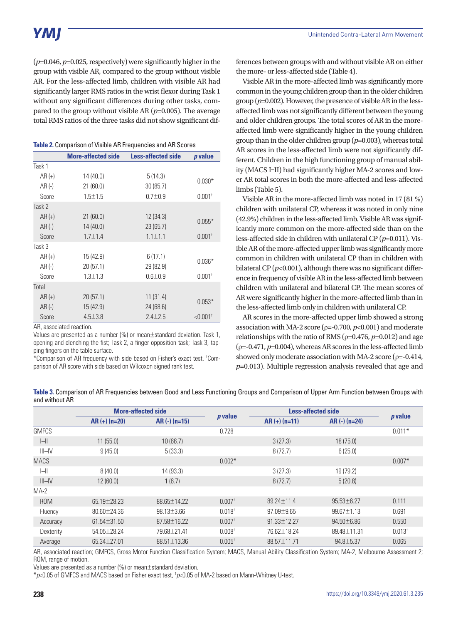(*p*=0.046, *p*=0.025, respectively) were significantly higher in the group with visible AR, compared to the group without visible AR. For the less-affected limb, children with visible AR had significantly larger RMS ratios in the wrist flexor during Task 1 without any significant differences during other tasks, compared to the group without visible AR (*p*=0.005). The average total RMS ratios of the three tasks did not show significant dif-

**Table 2.** Comparison of Visible AR Frequencies and AR Scores

|          | <b>More-affected side</b> | <b>Less-affected side</b> | <i>p</i> value         |
|----------|---------------------------|---------------------------|------------------------|
| Task 1   |                           |                           |                        |
| $AR (+)$ | 14 (40.0)                 | 5(14.3)                   |                        |
| AR (-)   | 21(60.0)                  | 30(85.7)                  | $0.030*$               |
| Score    | $1.5 \pm 1.5$             | $0.7 + 0.9$               | $0.001$ <sup>+</sup>   |
| Task 2   |                           |                           |                        |
| $AR (+)$ | 21(60.0)                  | 12(34.3)                  |                        |
| $AR(-)$  | 14(40.0)                  | 23 (65.7)                 | $0.055*$               |
| Score    | $1.7 \pm 1.4$             | $1.1 \pm 1.1$             | $0.001$ <sup>t</sup>   |
| Task 3   |                           |                           |                        |
| $AR (+)$ | 15 (42.9)                 | 6(17.1)                   |                        |
| $AR(-)$  | 20(57.1)                  | 29 (82.9)                 | $0.036*$               |
| Score    | $1.3 + 1.3$               | $0.6 + 0.9$               | $0.001$ <sup>+</sup>   |
| Total    |                           |                           |                        |
| $AR (+)$ | 20(57.1)                  | 11(31.4)                  |                        |
| $AR(-)$  | 15(42.9)                  | 24 (68.6)                 | $0.053*$               |
| Score    | $4.5 \pm 3.8$             | $2.4 + 2.5$               | $< 0.001$ <sup>t</sup> |

AR, associated reaction.

Values are presented as a number (%) or mean±standard deviation. Task 1, opening and clenching the fist; Task 2, a finger opposition task; Task 3, tapping fingers on the table surface.

\*Comparison of AR frequency with side based on Fisher's exact test, † Comparison of AR score with side based on Wilcoxon signed rank test.

ferences between groups with and without visible AR on either the more- or less-affected side (Table 4).

Visible AR in the more-affected limb was significantly more common in the young children group than in the older children group (*p*=0.002). However, the presence of visible AR in the lessaffected limb was not significantly different between the young and older children groups. The total scores of AR in the moreaffected limb were significantly higher in the young children group than in the older children group (*p*=0.003), whereas total AR scores in the less-affected limb were not significantly different. Children in the high functioning group of manual ability (MACS I–II) had significantly higher MA-2 scores and lower AR total scores in both the more-affected and less-affected limbs (Table 5).

Visible AR in the more-affected limb was noted in 17 (81 %) children with unilateral CP, whereas it was noted in only nine (42.9%) children in the less-affected limb. Visible AR was significantly more common on the more-affected side than on the less-affected side in children with unilateral CP (*p*=0.011). Visible AR of the more-affected upper limb was significantly more common in children with unilateral CP than in children with bilateral CP  $(p<0.001)$ , although there was no significant difference in frequency of visible AR in the less-affected limb between children with unilateral and bilateral CP. The mean scores of AR were significantly higher in the more-affected limb than in the less-affected limb only in children with unilateral CP.

AR scores in the more-affected upper limb showed a strong association with MA-2 score (ρ=-0.700, *p*<0.001) and moderate relationships with the ratio of RMS ( $\rho$ =0.476,  $p$ =0.012) and age  $(\rho = -0.471, p = 0.004)$ , whereas AR scores in the less-affected limb showed only moderate association with MA-2 score ( $\rho$ =-0.414, *p*=0.013). Multiple regression analysis revealed that age and

**Table 3.** Comparison of AR Frequencies between Good and Less Functioning Groups and Comparison of Upper Arm Function between Groups with and without AR

|                    | <b>More-affected side</b> |                  |                      |                   | <b>Less-affected side</b> |                    |
|--------------------|---------------------------|------------------|----------------------|-------------------|---------------------------|--------------------|
|                    | $AR (+) (n=20)$           | $AR (-) (n=15)$  | $p$ value            | $AR (+) (n=11)$   | $AR (-) (n=24)$           | p value            |
| <b>GMFCS</b>       |                           |                  | 0.728                |                   |                           | $0.011*$           |
| $\mathsf{H}$       | 11(55.0)                  | 10(66.7)         |                      | 3(27.3)           | 18(75.0)                  |                    |
| $III$ -IV          | 9(45.0)                   | 5(33.3)          |                      | 8(72.7)           | 6(25.0)                   |                    |
| <b>MACS</b>        |                           |                  | $0.002*$             |                   |                           | $0.007*$           |
| $\left  - \right $ | 8(40.0)                   | 14(93.3)         |                      | 3(27.3)           | 19 (79.2)                 |                    |
| $III$ -IV          | 12(60.0)                  | 1(6.7)           |                      | 8(72.7)           | 5(20.8)                   |                    |
| $MA-2$             |                           |                  |                      |                   |                           |                    |
| <b>ROM</b>         | $65.19 \pm 28.23$         | 88.65 + 14.22    | $0.007$ <sup>t</sup> | $89.24 \pm 11.4$  | $95.53 \pm 6.27$          | 0.111              |
| Fluency            | $80.60 + 24.36$           | $98.13 \pm 3.66$ | $0.018$ <sup>t</sup> | $97.09 + 9.65$    | $99.67 \pm 1.13$          | 0.691              |
| Accuracy           | 61.54±31.50               | 87.58±16.22      | $0.007$ <sup>+</sup> | $91.33 \pm 12.27$ | $94.50 \pm 6.86$          | 0.550              |
| Dexterity          | 54.05±28.24               | 79.68±21.41      | 0.008 <sup>†</sup>   | 76.62±18.24       | 89.48 ± 11.31             | 0.013 <sup>†</sup> |
| Average            | $65.34 + 27.01$           | $88.51 + 13.36$  | 0.005 <sup>†</sup>   | 88.57 ± 11.71     | $94.8 \pm 5.37$           | 0.065              |

AR, associated reaction; GMFCS, Gross Motor Function Classification System; MACS, Manual Ability Classification System; MA-2, Melbourne Assessment 2; ROM, range of motion.

Values are presented as a number (%) or mean±standard deviation.

\**p*<0.05 of GMFCS and MACS based on Fisher exact test, † *p*<0.05 of MA-2 based on Mann-Whitney U-test.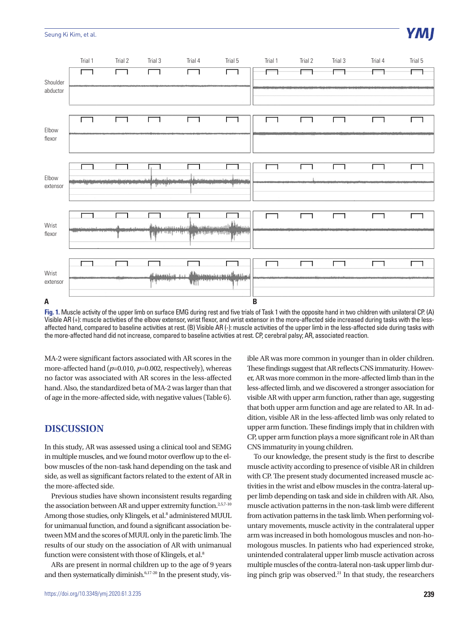#### Seung Ki Kim, et al.



**Fig. 1.** Muscle activity of the upper limb on surface EMG during rest and five trials of Task 1 with the opposite hand in two children with unilateral CP. (A) Visible AR (+): muscle activities of the elbow extensor, wrist flexor, and wrist extensor in the more-affected side increased during tasks with the lessaffected hand, compared to baseline activities at rest. (B) Visible AR (-): muscle activities of the upper limb in the less-affected side during tasks with the more-affected hand did not increase, compared to baseline activities at rest. CP, cerebral palsy; AR, associated reaction.

MA-2 were significant factors associated with AR scores in the more-affected hand ( $p=0.010$ ,  $p=0.002$ , respectively), whereas no factor was associated with AR scores in the less-affected hand. Also, the standardized beta of MA-2 was larger than that of age in the more-affected side, with negative values (Table 6).

## **DISCUSSION**

In this study, AR was assessed using a clinical tool and SEMG in multiple muscles, and we found motor overflow up to the elbow muscles of the non-task hand depending on the task and side, as well as significant factors related to the extent of AR in the more-affected side.

Previous studies have shown inconsistent results regarding the association between AR and upper extremity function.<sup>2,5,7-10</sup> Among those studies, only Klingels, et al.<sup>8</sup> administered MUUL for unimanual function, and found a significant association between MM and the scores of MUUL only in the paretic limb. The results of our study on the association of AR with unimanual function were consistent with those of Klingels, et al.<sup>8</sup>

ARs are present in normal children up to the age of 9 years and then systematically diminish.<sup>6,17-20</sup> In the present study, visible AR was more common in younger than in older children. These findings suggest that AR reflects CNS immaturity. However, AR was more common in the more-affected limb than in the less-affected limb, and we discovered a stronger association for visible AR with upper arm function, rather than age, suggesting that both upper arm function and age are related to AR. In addition, visible AR in the less-affected limb was only related to upper arm function. These findings imply that in children with CP, upper arm function plays a more significant role in AR than CNS immaturity in young children.

To our knowledge, the present study is the first to describe muscle activity according to presence of visible AR in children with CP. The present study documented increased muscle activities in the wrist and elbow muscles in the contra-lateral upper limb depending on task and side in children with AR. Also, muscle activation patterns in the non-task limb were different from activation patterns in the task limb. When performing voluntary movements, muscle activity in the contralateral upper arm was increased in both homologous muscles and non-homologous muscles. In patients who had experienced stroke, unintended contralateral upper limb muscle activation across multiple muscles of the contra-lateral non-task upper limb during pinch grip was observed.<sup>21</sup> In that study, the researchers

## YMI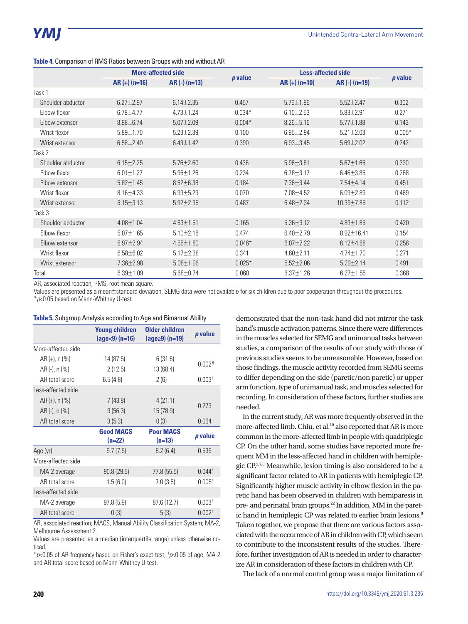|                   | <b>More-affected side</b> |                 |                | <b>Less-affected side</b> |                  |           |
|-------------------|---------------------------|-----------------|----------------|---------------------------|------------------|-----------|
|                   | $AR (+)$ (n=16)           | $AR (-) (n=13)$ | <i>p</i> value | $AR (+) (n=10)$           | $AR (-) (n=19)$  | $p$ value |
| Task 1            |                           |                 |                |                           |                  |           |
| Shoulder abductor | $6.27 \pm 2.97$           | $6.14 \pm 2.35$ | 0.457          | $5.76 \pm 1.96$           | $5.52 \pm 2.47$  | 0.302     |
| Elbow flexor      | $6.78 \pm 4.77$           | $4.73 \pm 1.24$ | $0.034*$       | $6.10 \pm 2.53$           | $5.83 \pm 2.91$  | 0.271     |
| Elbow extensor    | $8.98 \pm 6.74$           | $5.07 \pm 2.09$ | $0.004*$       | $8.26 \pm 5.16$           | $5.77 \pm 1.88$  | 0.143     |
| Wrist flexor      | $5.89 \pm 1.70$           | $5.23 \pm 2.39$ | 0.100          | $6.95 \pm 2.94$           | $5.21 \pm 2.03$  | $0.005*$  |
| Wrist extensor    | $6.58 \pm 2.49$           | $6.43 \pm 1.42$ | 0.390          | $6.93 \pm 3.45$           | $5.69 \pm 2.02$  | 0.242     |
| Task 2            |                           |                 |                |                           |                  |           |
| Shoulder abductor | $6.15 \pm 2.25$           | $5.76 \pm 2.60$ | 0.436          | $5.96 \pm 3.81$           | $5.67 \pm 1.65$  | 0.330     |
| Elbow flexor      | $6.01 \pm 1.27$           | $5.96 \pm 1.26$ | 0.234          | $6.78 \pm 3.17$           | $6.46 \pm 3.85$  | 0.268     |
| Elbow extensor    | $5.82 \pm 1.45$           | $8.52 \pm 6.38$ | 0.184          | 7.36±3.44                 | $7.54 \pm 4.14$  | 0.451     |
| Wrist flexor      | $8.16 \pm 4.33$           | $6.93 \pm 5.29$ | 0.070          | 7.08±4.52                 | $6.09 \pm 2.89$  | 0.469     |
| Wrist extensor    | $6.15 \pm 3.13$           | $5.92 \pm 2.35$ | 0.487          | $6.48 \pm 2.34$           | 10.39±7.85       | 0.112     |
| Task 3            |                           |                 |                |                           |                  |           |
| Shoulder abductor | $4.08 \pm 1.04$           | $4.63 \pm 1.51$ | 0.165          | $5.36 \pm 3.12$           | $4.83 \pm 1.85$  | 0.420     |
| Elbow flexor      | $5.07 \pm 1.65$           | $5.10 \pm 2.18$ | 0.474          | $6.40 \pm 2.79$           | $8.92 \pm 16.41$ | 0.154     |
| Elbow extensor    | $5.97 \pm 2.94$           | $4.55 \pm 1.80$ | $0.046*$       | $6.07 \pm 2.22$           | $6.12 \pm 4.68$  | 0.256     |
| Wrist flexor      | $6.58 \pm 6.02$           | $5.17 \pm 2.38$ | 0.341          | $4.60 \pm 2.11$           | $4.74 \pm 1.70$  | 0.271     |
| Wrist extensor    | $7.36 \pm 2.98$           | $5.08 \pm 1.96$ | $0.025*$       | $5.52 \pm 2.06$           | $5.29 \pm 2.14$  | 0.491     |
| Total             | $6.39 \pm 1.09$           | $5.68 \pm 0.74$ | 0.060          | $6.37 \pm 1.26$           | $6.27 \pm 1.55$  | 0.368     |

#### **Table 4.** Comparison of RMS Ratios between Groups with and without AR

AR, associated reaction; RMS, root mean square.

Values are presented as a mean±standard deviation. SEMG data were not available for six children due to poor cooperation throughout the procedures. \**p*<0.05 based on Mann-Whitney U-test.

#### **Table 5.** Subgroup Analysis according to Age and Bimanual Ability

|                                                                                    | <b>Young children</b><br>$(age < 9) (n=16)$ |                              | p value            |  |
|------------------------------------------------------------------------------------|---------------------------------------------|------------------------------|--------------------|--|
| More-affected side                                                                 |                                             |                              |                    |  |
| AR (+), n (%)                                                                      | 14 (87.5)                                   | 6(31.6)                      |                    |  |
| AR (-), n (%)                                                                      | 2(12.5)                                     | 13 (68.4)                    | $0.002*$           |  |
| AR total score                                                                     | 6.5(4.8)                                    | 2(6)                         | 0.003 <sup>†</sup> |  |
| Less-affected side                                                                 |                                             |                              |                    |  |
| $AR (+), n (%)$                                                                    | 7(43.8)                                     | 4(21.1)                      |                    |  |
| AR (-), n (%)                                                                      | 9(56.3)                                     | 15 (78.9)                    | 0.273              |  |
| AR total score                                                                     | 3(5.3)                                      | 0(3)                         | 0.064              |  |
|                                                                                    | <b>Good MACS</b><br>$(n=22)$                | <b>Poor MACS</b><br>$(n=13)$ | p value            |  |
| Age (yr)                                                                           | 9.7(7.5)                                    | 8.2(6.4)                     | 0.539              |  |
| More-affected side                                                                 |                                             |                              |                    |  |
| MA-2 average                                                                       | 90.8 (29.5)                                 | 77.8(55.5)                   | $0.044^{\dagger}$  |  |
| AR total score                                                                     | 1.5(6.0)                                    | 7.0(3.5)                     | 0.005 <sup>†</sup> |  |
| Less-affected side                                                                 |                                             |                              |                    |  |
| MA-2 average                                                                       | 97.8(5.9)                                   | 87.6 (12.7)                  | 0.003 <sup>†</sup> |  |
| AR total score<br>$\mathbf{A} \mathbf{D}$ . The state of the state of $\mathbf{A}$ | 0(3)                                        | 5(3)<br>$\mathbf{M}$         | 0.002 <sup>†</sup> |  |

AR, associated reaction; MACS, Manual Ability Classification System; MA-2, Melbourne Assessment 2.

Values are presented as a median (interquartile range) unless otherwise noticed.

\**p*<0.05 of AR frequency based on Fisher's exact test, † *p*<0.05 of age, MA-2 and AR total score based on Mann-Whitney U-test.

demonstrated that the non-task hand did not mirror the task hand's muscle activation patterns. Since there were differences in the muscles selected for SEMG and unimanual tasks between studies, a comparison of the results of our study with those of previous studies seems to be unreasonable. However, based on those findings, the muscle activity recorded from SEMG seems to differ depending on the side (paretic/non paretic) or upper arm function, type of unimanual task, and muscles selected for recording. In consideration of these factors, further studies are needed.

In the current study, AR was more frequently observed in the more-affected limb. Chiu, et al.<sup>10</sup> also reported that AR is more common in the more-affected limb in people with quadriplegic CP. On the other hand, some studies have reported more frequent MM in the less-affected hand in children with hemiplegic CP.5,7,8 Meanwhile, lesion timing is also considered to be a significant factor related to AR in patients with hemiplegic CP. Significantly higher muscle activity in elbow flexion in the paretic hand has been observed in children with hemiparesis in pre- and perinatal brain groups.<sup>22</sup> In addition, MM in the paretic hand in hemiplegic CP was related to earlier brain lesions.<sup>8</sup> Taken together, we propose that there are various factors associated with the occurrence of AR in children with CP, which seem to contribute to the inconsistent results of the studies. Therefore, further investigation of AR is needed in order to characterize AR in consideration of these factors in children with CP.

The lack of a normal control group was a major limitation of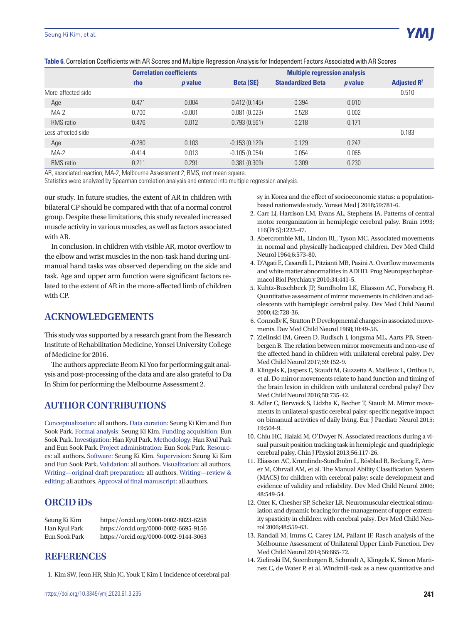|                    | <b>Correlation coefficients</b> |                | <b>Multiple regression analysis</b> |                          |                |                |
|--------------------|---------------------------------|----------------|-------------------------------------|--------------------------|----------------|----------------|
|                    | rho                             | <i>p</i> value | <b>Beta (SE)</b>                    | <b>Standardized Beta</b> | <i>p</i> value | Adjusted $R^2$ |
| More-affected side |                                 |                |                                     |                          |                | 0.510          |
| Age                | $-0.471$                        | 0.004          | $-0.412(0.145)$                     | $-0.394$                 | 0.010          |                |
| $MA-2$             | $-0.700$                        | < 0.001        | $-0.081(0.023)$                     | $-0.528$                 | 0.002          |                |
| <b>RMS</b> ratio   | 0.476                           | 0.012          | 0.793(0.561)                        | 0.218                    | 0.171          |                |
| Less-affected side |                                 |                |                                     |                          |                | 0.183          |
| Age                | $-0.280$                        | 0.103          | $-0.153(0.129)$                     | 0.129                    | 0.247          |                |
| $MA-2$             | $-0.414$                        | 0.013          | $-0.105(0.054)$                     | 0.054                    | 0.065          |                |
| <b>RMS</b> ratio   | 0.211                           | 0.291          | 0.381(0.309)                        | 0.309                    | 0.230          |                |

**Table 6.** Correlation Coefficients with AR Scores and Multiple Regression Analysis for Independent Factors Associated with AR Scores

AR, associated reaction; MA-2, Melbourne Assessment 2; RMS, root mean square.

Statistics were analyzed by Spearman correlation analysis and entered into multiple regression analysis.

our study. In future studies, the extent of AR in children with bilateral CP should be compared with that of a normal control group. Despite these limitations, this study revealed increased muscle activity in various muscles, as well as factors associated with AR.

In conclusion, in children with visible AR, motor overflow to the elbow and wrist muscles in the non-task hand during unimanual hand tasks was observed depending on the side and task. Age and upper arm function were significant factors related to the extent of AR in the more-affected limb of children with CP.

## **ACKNOWLEDGEMENTS**

This study was supported by a research grant from the Research Institute of Rehabilitation Medicine, Yonsei University College of Medicine for 2016.

The authors appreciate Beom Ki Yoo for performing gait analysis and post-processing of the data and are also grateful to Da In Shim for performing the Melbourne Assessment 2.

## **AUTHOR CONTRIBUTIONS**

Conceptualization: all authors. Data curation: Seung Ki Kim and Eun Sook Park. Formal analysis: Seung Ki Kim. Funding acquisition: Eun Sook Park. Investigation: Han Kyul Park. Methodology: Han Kyul Park and Eun Sook Park. Project administration: Eun Sook Park. Resources: all authors. Software: Seung Ki Kim. Supervision: Seung Ki Kim and Eun Sook Park. Validation: all authors. Visualization: all authors. Writing—original draft preparation: all authors. Writing—review & editing: all authors. Approval of final manuscript: all authors.

## **ORCID iDs**

Seung Ki Kim https://orcid.org/0000-0002-8823-6258 Han Kyul Park https://orcid.org/0000-0002-6695-9156 Eun Sook Park https://orcid.org/0000-0002-9144-3063

## **REFERENCES**

1. Kim SW, Jeon HR, Shin JC, Youk T, Kim J. Incidence of cerebral pal-

sy in Korea and the effect of socioeconomic status: a populationbased nationwide study. Yonsei Med J 2018;59:781-6.

- 2. Carr LJ, Harrison LM, Evans AL, Stephens JA. Patterns of central motor reorganization in hemiplegic cerebral palsy. Brain 1993; 116(Pt 5):1223-47.
- 3. Abercrombie ML, Lindon RL, Tyson MC. Associated movements in normal and physically hadicapped children. Dev Med Child Neurol 1964;6:573-80.
- 4. D'Agati E, Casarelli L, Pitzianti MB, Pasini A. Overflow movements and white matter abnormalities in ADHD. Prog Neuropsychopharmacol Biol Psychiatry 2010;34:441-5.
- 5. Kuhtz-Buschbeck JP, Sundholm LK, Eliasson AC, Forssberg H. Quantitative assessment of mirror movements in children and adolescents with hemiplegic cerebral palsy. Dev Med Child Neurol 2000;42:728-36.
- 6. Connolly K, Stratton P. Developmental changes in associated movements. Dev Med Child Neurol 1968;10:49-56.
- 7. Zielinski IM, Green D, Rudisch J, Jongsma ML, Aarts PB, Steenbergen B. The relation between mirror movements and non-use of the affected hand in children with unilateral cerebral palsy. Dev Med Child Neurol 2017;59:152-9.
- 8. Klingels K, Jaspers E, Staudt M, Guzzetta A, Mailleux L, Ortibus E, et al. Do mirror movements relate to hand function and timing of the brain lesion in children with unilateral cerebral palsy? Dev Med Child Neurol 2016;58:735-42.
- 9. Adler C, Berweck S, Lidzba K, Becher T, Staudt M. Mirror movements in unilateral spastic cerebral palsy: specific negative impact on bimanual activities of daily living. Eur J Paediatr Neurol 2015; 19:504-9.
- 10. Chiu HC, Halaki M, O'Dwyer N. Associated reactions during a visual pursuit position tracking task in hemiplegic and quadriplegic cerebral palsy. Chin J Physiol 2013;56:117-26.
- 11. Eliasson AC, Krumlinde-Sundholm L, Rösblad B, Beckung E, Arner M, Ohrvall AM, et al. The Manual Ability Classification System (MACS) for children with cerebral palsy: scale development and evidence of validity and reliability. Dev Med Child Neurol 2006; 48:549-54.
- 12. Ozer K, Chesher SP, Scheker LR. Neuromuscular electrical stimulation and dynamic bracing for the management of upper-extremity spasticity in children with cerebral palsy. Dev Med Child Neurol 2006;48:559-63.
- 13. Randall M, Imms C, Carey LM, Pallant JF. Rasch analysis of the Melbourne Assessment of Unilateral Upper Limb Function. Dev Med Child Neurol 2014;56:665-72.
- 14. Zielinski IM, Steenbergen B, Schmidt A, Klingels K, Simon Martinez C, de Water P, et al. Windmill-task as a new quantitative and